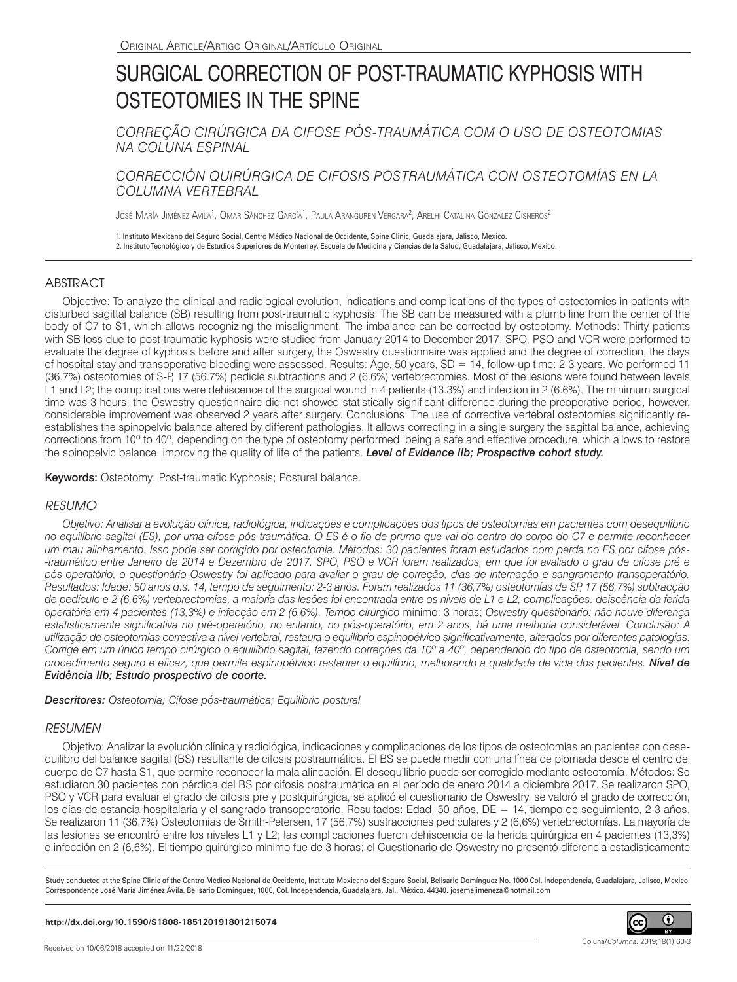# SURGICAL CORRECTION OF POST-TRAUMATIC KYPHOSIS WITH OSTEOTOMIES IN THE SPINE

*CORREÇÃO CIRÚRGICA DA CIFOSE PÓS-TRAUMÁTICA COM O USO DE OSTEOTOMIAS NA COLUNA ESPINAL*

*CORRECCIÓN QUIRÚRGICA DE CIFOSIS POSTRAUMÁTICA CON OSTEOTOMÍAS EN LA COLUMNA VERTEBRAL*

José María Jiménez Avila<sup>1</sup>, Omar Sánchez García<sup>1</sup>, Paula Aranguren Vergara<sup>2</sup>, Arelhi Catalina González Cisneros<sup>2</sup>

1. Instituto Mexicano del Seguro Social, Centro Médico Nacional de Occidente, Spine Clinic, Guadalajara, Jalisco, Mexico. 2. Instituto Tecnológico y de Estudios Superiores de Monterrey, Escuela de Medicina y Ciencias de la Salud, Guadalajara, Jalisco, Mexico.

## ABSTRACT

Objective: To analyze the clinical and radiological evolution, indications and complications of the types of osteotomies in patients with disturbed sagittal balance (SB) resulting from post-traumatic kyphosis. The SB can be measured with a plumb line from the center of the body of C7 to S1, which allows recognizing the misalignment. The imbalance can be corrected by osteotomy. Methods: Thirty patients with SB loss due to post-traumatic kyphosis were studied from January 2014 to December 2017. SPO, PSO and VCR were performed to evaluate the degree of kyphosis before and after surgery, the Oswestry questionnaire was applied and the degree of correction, the days of hospital stay and transoperative bleeding were assessed. Results: Age, 50 years, SD = 14, follow-up time: 2-3 years. We performed 11 (36.7%) osteotomies of S-P, 17 (56.7%) pedicle subtractions and 2 (6.6%) vertebrectomies. Most of the lesions were found between levels L1 and L2; the complications were dehiscence of the surgical wound in 4 patients (13.3%) and infection in 2 (6.6%). The minimum surgical time was 3 hours; the Oswestry questionnaire did not showed statistically significant difference during the preoperative period, however, considerable improvement was observed 2 years after surgery. Conclusions: The use of corrective vertebral osteotomies significantly reestablishes the spinopelvic balance altered by different pathologies. It allows correcting in a single surgery the sagittal balance, achieving corrections from 10° to 40°, depending on the type of osteotomy performed, being a safe and effective procedure, which allows to restore the spinopelvic balance, improving the quality of life of the patients. *Level of Evidence IIb; Prospective cohort study.*

Keywords: Osteotomy; Post-traumatic Kyphosis; Postural balance.

## *RESUMO*

*Objetivo: Analisar a evolução clínica, radiológica, indicações e complicações dos tipos de osteotomias em pacientes com desequilíbrio no equilíbrio sagital (ES), por uma cifose pós-traumática. O ES é o fio de prumo que vai do centro do corpo do C7 e permite reconhecer um mau alinhamento. Isso pode ser corrigido por osteotomia. Métodos: 30 pacientes foram estudados com perda no ES por cifose pós- -traumático entre Janeiro de 2014 e Dezembro de 2017. SPO, PSO e VCR foram realizados, em que foi avaliado o grau de cifose pré e pós-operatório, o questionário Oswestry foi aplicado para avaliar o grau de correção, dias de internação e sangramento transoperatório. Resultados: Idade: 50 anos d.s. 14, tempo de seguimento: 2-3 anos. Foram realizados 11 (36,7%) osteotomías de SP, 17 (56,7%) subtracção de pedículo e 2 (6,6%) vertebrectomias, a maioria das lesões foi encontrada entre os níveis de L1 e L2; complicações: deiscência da ferida operatória em 4 pacientes (13,3%) e infecção em 2 (6,6%). Tempo cirúrgico* mínimo: 3 horas; *Oswestry questionário: não houve diferença estatisticamente significativa no pré-operatório, no entanto, no pós-operatório, em 2 anos, há uma melhoria considerável. Conclusão: A utilização de osteotomias correctiva a nível vertebral, restaura o equilíbrio espinopélvico significativamente, alterados por diferentes patologias. Corrige em um único tempo cirúrgico o equilíbrio sagital, fazendo correções da 10º a 40º, dependendo do tipo de osteotomia, sendo um procedimento seguro e eficaz, que permite espinopélvico restaurar o equilíbrio, melhorando a qualidade de vida dos pacientes. Nível de Evidência IIb; Estudo prospectivo de coorte.* 

*Descritores: Osteotomia; Cifose pós-traumática; Equilíbrio postural*

## *RESUMEN*

Objetivo: Analizar la evolución clínica y radiológica, indicaciones y complicaciones de los tipos de osteotomías en pacientes con desequilibro del balance sagital (BS) resultante de cifosis postraumática. El BS se puede medir con una línea de plomada desde el centro del cuerpo de C7 hasta S1, que permite reconocer la mala alineación. El desequilibrio puede ser corregido mediante osteotomía. Métodos: Se estudiaron 30 pacientes con pérdida del BS por cifosis postraumática en el período de enero 2014 a diciembre 2017. Se realizaron SPO, PSO y VCR para evaluar el grado de cifosis pre y postquirúrgica, se aplicó el cuestionario de Oswestry, se valoró el grado de corrección, los días de estancia hospitalaria y el sangrado transoperatorio. Resultados: Edad, 50 años, DE = 14, tiempo de seguimiento, 2-3 años. Se realizaron 11 (36,7%) Osteotomias de Smith-Petersen, 17 (56,7%) sustracciones pediculares y 2 (6,6%) vertebrectomías. La mayoría de las lesiones se encontró entre los niveles L1 y L2; las complicaciones fueron dehiscencia de la herida quirúrgica en 4 pacientes (13,3%) e infección en 2 (6,6%). El tiempo quirúrgico mínimo fue de 3 horas; el Cuestionario de Oswestry no presentó diferencia estadísticamente

Study conducted at the Spine Clinic of the Centro Médico Nacional de Occidente, Instituto Mexicano del Seguro Social, Belisario Domínguez No. 1000 Col. Independencia, Guadalajara, Jalisco, Mexico. Correspondence José María Jiménez Ávila. Belisario Domínguez, 1000, Col. Independencia, Guadalajara, Jal., México. 44340. josemajimeneza@hotmail.com

### **http://dx.doi.org/10.1590/S1808-185120191801215074**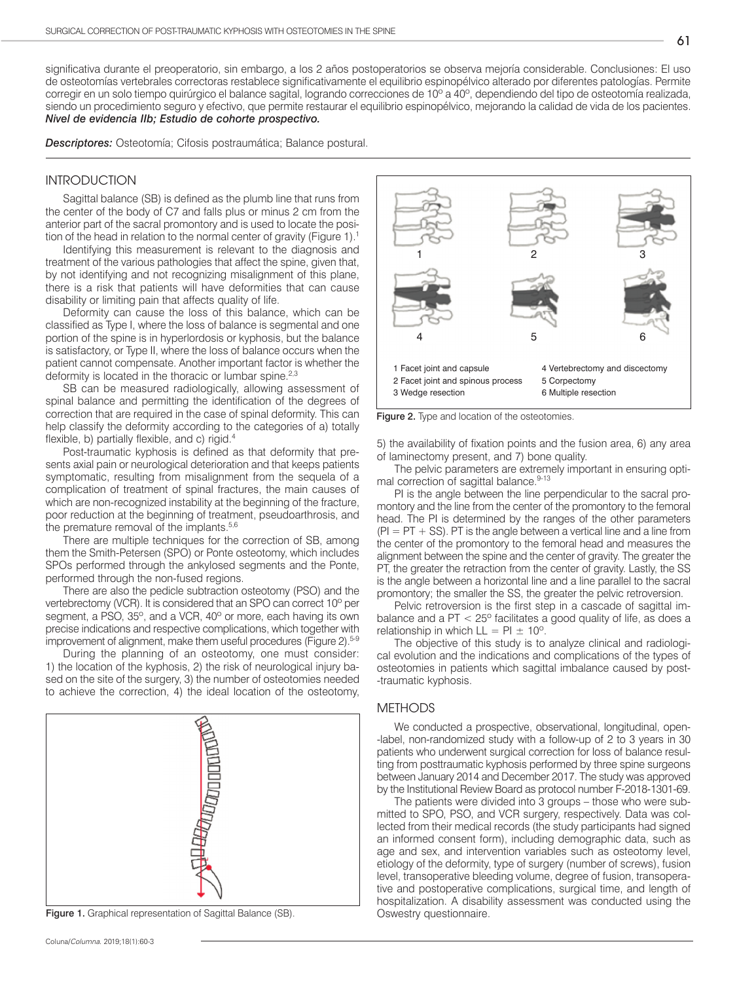significativa durante el preoperatorio, sin embargo, a los 2 años postoperatorios se observa mejoría considerable. Conclusiones: El uso de osteotomías vertebrales correctoras restablece significativamente el equilibrio espinopélvico alterado por diferentes patologías. Permite corregir en un solo tiempo quirúrgico el balance sagital, logrando correcciones de 10º a 40º, dependiendo del tipo de osteotomía realizada, siendo un procedimiento seguro y efectivo, que permite restaurar el equilibrio espinopélvico, mejorando la calidad de vida de los pacientes. *Nivel de evidencia IIb; Estudio de cohorte prospectivo.*

*Descriptores:* Osteotomía; Cifosis postraumática; Balance postural.

## INTRODUCTION

Sagittal balance (SB) is defined as the plumb line that runs from the center of the body of C7 and falls plus or minus 2 cm from the anterior part of the sacral promontory and is used to locate the position of the head in relation to the normal center of gravity (Figure 1).<sup>1</sup>

Identifying this measurement is relevant to the diagnosis and treatment of the various pathologies that affect the spine, given that, by not identifying and not recognizing misalignment of this plane, there is a risk that patients will have deformities that can cause disability or limiting pain that affects quality of life.

Deformity can cause the loss of this balance, which can be classified as Type I, where the loss of balance is segmental and one portion of the spine is in hyperlordosis or kyphosis, but the balance is satisfactory, or Type II, where the loss of balance occurs when the patient cannot compensate. Another important factor is whether the deformity is located in the thoracic or lumbar spine.<sup>2,3</sup>

SB can be measured radiologically, allowing assessment of spinal balance and permitting the identification of the degrees of correction that are required in the case of spinal deformity. This can help classify the deformity according to the categories of a) totally flexible, b) partially flexible, and c) rigid.4

Post-traumatic kyphosis is defined as that deformity that presents axial pain or neurological deterioration and that keeps patients symptomatic, resulting from misalignment from the sequela of a complication of treatment of spinal fractures, the main causes of which are non-recognized instability at the beginning of the fracture, poor reduction at the beginning of treatment, pseudoarthrosis, and the premature removal of the implants.<sup>5,6</sup>

There are multiple techniques for the correction of SB, among them the Smith-Petersen (SPO) or Ponte osteotomy, which includes SPOs performed through the ankylosed segments and the Ponte, performed through the non-fused regions.

There are also the pedicle subtraction osteotomy (PSO) and the vertebrectomy (VCR). It is considered that an SPO can correct 10º per segment, a PSO, 35º, and a VCR, 40º or more, each having its own precise indications and respective complications, which together with improvement of alignment, make them useful procedures (Figure 2).<sup>5-9</sup>

During the planning of an osteotomy, one must consider: 1) the location of the kyphosis, 2) the risk of neurological injury based on the site of the surgery, 3) the number of osteotomies needed to achieve the correction, 4) the ideal location of the osteotomy,



Figure 1. Graphical representation of Sagittal Balance (SB). Cswestry questionnaire.



Figure 2. Type and location of the osteotomies.

5) the availability of fixation points and the fusion area, 6) any area of laminectomy present, and 7) bone quality.

The pelvic parameters are extremely important in ensuring optimal correction of sagittal balance.<sup>9-13</sup>

PI is the angle between the line perpendicular to the sacral promontory and the line from the center of the promontory to the femoral head. The PI is determined by the ranges of the other parameters  $(PI = PT + SS)$ . PT is the angle between a vertical line and a line from the center of the promontory to the femoral head and measures the alignment between the spine and the center of gravity. The greater the PT, the greater the retraction from the center of gravity. Lastly, the SS is the angle between a horizontal line and a line parallel to the sacral promontory; the smaller the SS, the greater the pelvic retroversion.

Pelvic retroversion is the first step in a cascade of sagittal imbalance and a  $PT < 25^\circ$  facilitates a good quality of life, as does a relationship in which  $LL = PI \pm 10^{\circ}$ .

The objective of this study is to analyze clinical and radiological evolution and the indications and complications of the types of osteotomies in patients which sagittal imbalance caused by post- -traumatic kyphosis.

## METHODS

We conducted a prospective, observational, longitudinal, open--label, non-randomized study with a follow-up of 2 to 3 years in 30 patients who underwent surgical correction for loss of balance resulting from posttraumatic kyphosis performed by three spine surgeons between January 2014 and December 2017. The study was approved by the Institutional Review Board as protocol number F-2018-1301-69.

The patients were divided into 3 groups – those who were submitted to SPO, PSO, and VCR surgery, respectively. Data was collected from their medical records (the study participants had signed an informed consent form), including demographic data, such as age and sex, and intervention variables such as osteotomy level, etiology of the deformity, type of surgery (number of screws), fusion level, transoperative bleeding volume, degree of fusion, transoperative and postoperative complications, surgical time, and length of hospitalization. A disability assessment was conducted using the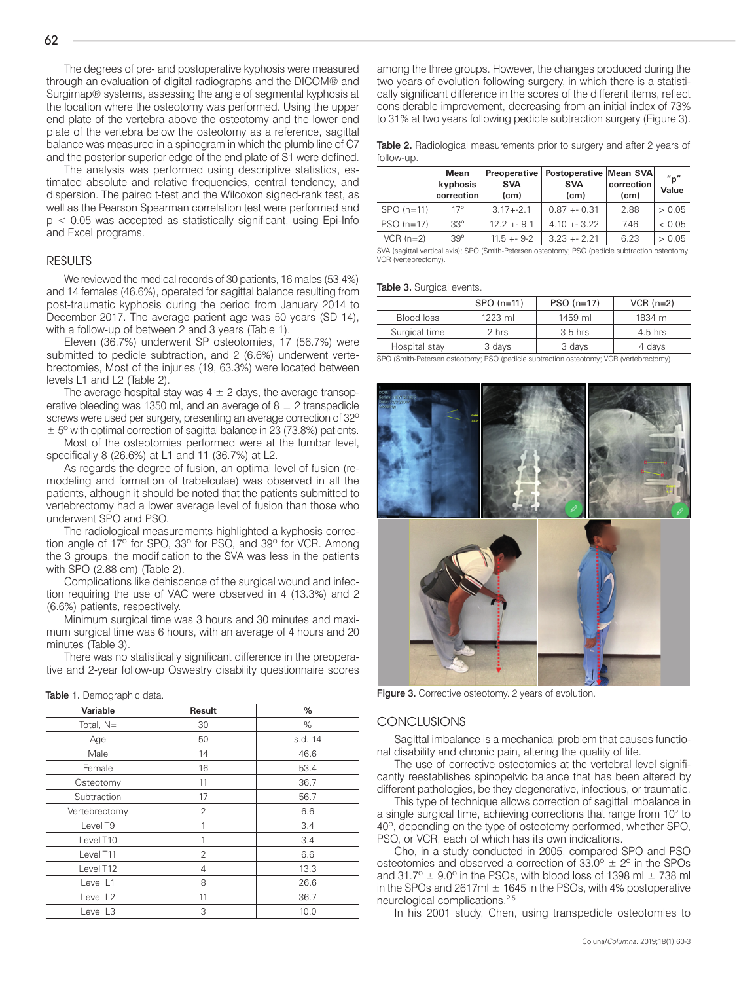The degrees of pre- and postoperative kyphosis were measured through an evaluation of digital radiographs and the DICOM® and Surgimap® systems, assessing the angle of segmental kyphosis at the location where the osteotomy was performed. Using the upper end plate of the vertebra above the osteotomy and the lower end plate of the vertebra below the osteotomy as a reference, sagittal balance was measured in a spinogram in which the plumb line of C7 and the posterior superior edge of the end plate of S1 were defined.

The analysis was performed using descriptive statistics, estimated absolute and relative frequencies, central tendency, and dispersion. The paired t-test and the Wilcoxon signed-rank test, as well as the Pearson Spearman correlation test were performed and  $p < 0.05$  was accepted as statistically significant, using Epi-Info and Excel programs.

#### RESULTS

We reviewed the medical records of 30 patients, 16 males (53.4%) and 14 females (46.6%), operated for sagittal balance resulting from post-traumatic kyphosis during the period from January 2014 to December 2017. The average patient age was 50 years (SD 14), with a follow-up of between 2 and 3 years (Table 1).

Eleven (36.7%) underwent SP osteotomies, 17 (56.7%) were submitted to pedicle subtraction, and 2 (6.6%) underwent vertebrectomies, Most of the injuries (19, 63.3%) were located between levels L1 and L2 (Table 2).

The average hospital stay was  $4 \pm 2$  days, the average transoperative bleeding was 1350 ml, and an average of  $8 \pm 2$  transpedicle screws were used per surgery, presenting an average correction of 32°  $\pm$  5<sup>o</sup> with optimal correction of sagittal balance in 23 (73.8%) patients.

Most of the osteotomies performed were at the lumbar level, specifically 8 (26.6%) at L1 and 11 (36.7%) at L2.

As regards the degree of fusion, an optimal level of fusion (remodeling and formation of trabelculae) was observed in all the patients, although it should be noted that the patients submitted to vertebrectomy had a lower average level of fusion than those who underwent SPO and PSO.

The radiological measurements highlighted a kyphosis correction angle of 17º for SPO, 33º for PSO, and 39º for VCR. Among the 3 groups, the modification to the SVA was less in the patients with SPO (2.88 cm) (Table 2).

Complications like dehiscence of the surgical wound and infection requiring the use of VAC were observed in 4 (13.3%) and 2 (6.6%) patients, respectively.

Minimum surgical time was 3 hours and 30 minutes and maximum surgical time was 6 hours, with an average of 4 hours and 20 minutes (Table 3).

There was no statistically significant difference in the preoperative and 2-year follow-up Oswestry disability questionnaire scores

| <b>Result</b>  | %       |
|----------------|---------|
| 30             | $\%$    |
| 50             | s.d. 14 |
| 14             | 46.6    |
| 16             | 53.4    |
| 11             | 36.7    |
| 17             | 56.7    |
| 2              | 6.6     |
| 1              | 3.4     |
|                | 3.4     |
| $\overline{2}$ | 6.6     |
| $\overline{4}$ | 13.3    |
| 8              | 26.6    |
| 11             | 36.7    |
| 3              | 10.0    |
|                |         |

Table 1. Demographic data

among the three groups. However, the changes produced during the two years of evolution following surgery, in which there is a statistically significant difference in the scores of the different items, reflect considerable improvement, decreasing from an initial index of 73% to 31% at two years following pedicle subtraction surgery (Figure 3).

Table 2. Radiological measurements prior to surgery and after 2 years of follow-up.

|             | Mean<br>kyphosis<br>correction | <b>Preoperative</b><br><b>SVA</b><br>(cm) | Postoperative Mean SVA<br><b>SVA</b><br>(c <sub>m</sub> ) | correction<br>(c <sub>m</sub> ) | $n_{\rm D}$<br>Value |
|-------------|--------------------------------|-------------------------------------------|-----------------------------------------------------------|---------------------------------|----------------------|
| $SPO(n=11)$ | $17^\circ$                     | $3.17 + -2.1$                             | $0.87 + 0.31$                                             | 2.88                            | > 0.05               |
| $PSO(n=17)$ | $33^\circ$                     | $12.2 + 9.1$                              | $4.10 + 3.22$                                             | 7.46                            | < 0.05               |
| $VCR(n=2)$  | $39^\circ$                     | $11.5 + 9.2$                              | $3.23 + 2.21$                                             | 6.23                            | > 0.05               |

SVA (sagittal vertical axis); SPO (Smith-Petersen osteotomy; PSO (pedicle subtraction osteotomy; VCR (vertebrectomy).

#### Table 3. Surgical events.

|               | $SPO(n=11)$ | $PSO(n=17)$ | $VCR (n=2)$ |
|---------------|-------------|-------------|-------------|
| Blood loss    | $1223$ ml   | 1459 ml     | 1834 ml     |
| Surgical time | 2 hrs       | $3.5$ hrs   | $4.5$ hrs   |
| Hospital stay | 3 days      | 3 days      | 4 days      |

SPO (Smith-Petersen osteotomy; PSO (pedicle subtraction osteotomy; VCR (vertebrectomy).



Figure 3. Corrective osteotomy. 2 years of evolution.

#### **CONCLUSIONS**

Sagittal imbalance is a mechanical problem that causes functional disability and chronic pain, altering the quality of life.

The use of corrective osteotomies at the vertebral level significantly reestablishes spinopelvic balance that has been altered by different pathologies, be they degenerative, infectious, or traumatic.

This type of technique allows correction of sagittal imbalance in a single surgical time, achieving corrections that range from 10° to 40º, depending on the type of osteotomy performed, whether SPO, PSO, or VCR, each of which has its own indications.

Cho, in a study conducted in 2005, compared SPO and PSO osteotomies and observed a correction of  $33.0^{\circ} \pm 2^{\circ}$  in the SPOs and 31.7°  $\pm$  9.0° in the PSOs, with blood loss of 1398 ml  $\pm$  738 ml in the SPOs and 2617ml  $\pm$  1645 in the PSOs, with 4% postoperative neurological complications.2,5

In his 2001 study, Chen, using transpedicle osteotomies to